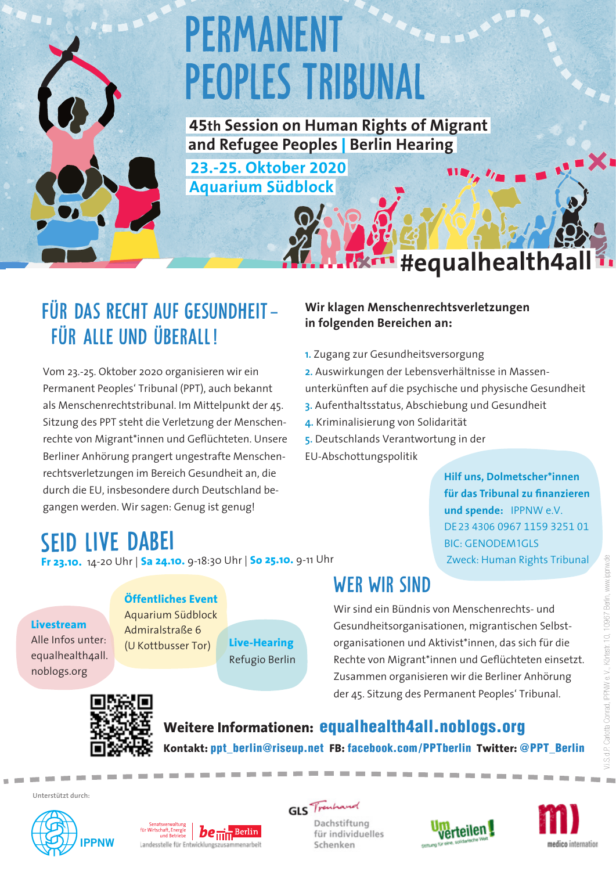# **PERMANENT PEOPLES TRIBUNAL**

 **45th Session on Human Rights of Migrant and Refugee Peoples** | **Berlin Hearing** 

**23.-25. Oktober 2020 Aquarium Südblock**

## Für das Recht auf Gesundheit **–** für alle und überall !

Vom 23.-25. Oktober 2020 organisieren wir ein Permanent Peoples' Tribunal (PPT), auch bekannt als Menschenrechtstribunal. Im Mittelpunkt der 45. Sitzung des PPT steht die Verletzung der Menschenrechte von Migrant\*innen und Geflüchteten. Unsere Berliner Anhörung prangert ungestrafte Menschenrechtsverletzungen im Bereich Gesundheit an, die durch die EU, insbesondere durch Deutschland begangen werden. Wir sagen: Genug ist genug!

### **Wir klagen Menschenrechtsverletzungen in folgenden Bereichen an:**

- **1.** Zugang zur Gesundheitsversorgung
- **2.** Auswirkungen der Lebensverhältnisse in Massenunterkünften auf die psychische und physische Gesundheit **3.** Aufenthaltsstatus, Abschiebung und Gesundheit

**#equalhealth4all**

- **4.** Kriminalisierung von Solidarität
- **5.** Deutschlands Verantwortung in der
- EU-Abschottungspolitik

**Hilf uns, Dolmetscher\*innen für das Tribunal zu finanzieren und spende:** IPPNW e.V. DE23 4306 0967 1159 3251 01 BIC: GENODEM1GLS Zweck: Human Rights Tribunal

## Seid live dabei

**Fr 23.10.** 14-20 Uhr | **Sa 24.10.** 9-18:30 Uhr | **So 25.10.** 9-11 Uhr

### **Livestream**

Alle Infos unter: equalhealth4all. noblogs.org

#### **Öffentliches Event**

Admiralstraße 6 (U Kottbusser Tor)

Aquarium Südblock **Live-Hearing** Refugio Berlin

## WER WIR SIND

Wir sind ein Bündnis von Menschenrechts- und Gesundheitsorganisationen, migrantischen Selbstorganisationen und Aktivist\*innen, das sich für die Rechte von Migrant\*innen und Geflüchteten einsetzt. Zusammen organisieren wir die Berliner Anhörung der 45. Sitzung des Permanent Peoples' Tribunal.



**Weitere Informationen:** equalhealth4all.noblogs.org **Kontakt:** ppt\_berlin@riseup.net **FB:** facebook.com/PPTberlin **Twitter:** @PPT\_Berlin

**Unterstützt durch:**





**GLS** Trenhand

Dachstiftung für individuelles Schenken